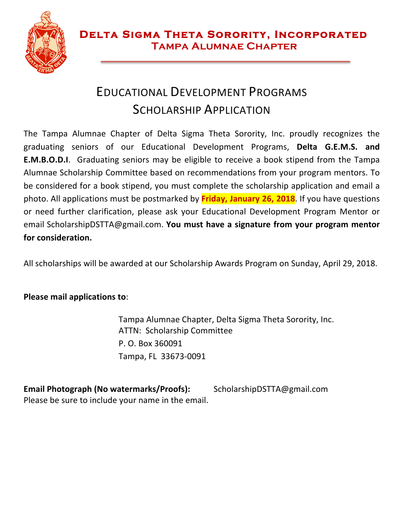

### EDUCATIONAL DEVELOPMENT PROGRAMS SCHOLARSHIP APPLICATION

The Tampa Alumnae Chapter of Delta Sigma Theta Sorority, Inc. proudly recognizes the graduating seniors of our Educational Development Programs, Delta G.E.M.S. and **E.M.B.O.D.I**. Graduating seniors may be eligible to receive a book stipend from the Tampa Alumnae Scholarship Committee based on recommendations from your program mentors. To be considered for a book stipend, you must complete the scholarship application and email a photo. All applications must be postmarked by **Friday, January 26, 2018**. If you have questions or need further clarification, please ask your Educational Development Program Mentor or email ScholarshipDSTTA@gmail.com. **You must have a signature from your program mentor** for consideration.

All scholarships will be awarded at our Scholarship Awards Program on Sunday, April 29, 2018.

#### **Please mail applications to:**

Tampa Alumnae Chapter, Delta Sigma Theta Sorority, Inc. ATTN: Scholarship Committee P. O. Box 360091 Tampa, FL 33673-0091

**Email Photograph (No watermarks/Proofs):** ScholarshipDSTTA@gmail.com Please be sure to include your name in the email.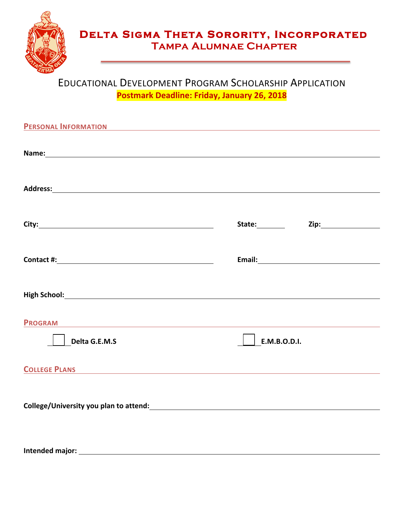

# **DELTA SIGMA THETA SORORITY, INCORPORATED<br>TAMPA ALUMNAE CHAPTER**

### EDUCATIONAL DEVELOPMENT PROGRAM SCHOLARSHIP APPLICATION **Postmark Deadline: Friday, January 26, 2018**

| <b>PERSONAL INFORMATION</b><br><u> 1980 - Johann Stein, marwolaethau a bhann an t-Amhainn an t-Amhainn an t-Amhainn an t-Amhainn an t-Amhainn a</u> |              |                       |
|-----------------------------------------------------------------------------------------------------------------------------------------------------|--------------|-----------------------|
|                                                                                                                                                     |              |                       |
|                                                                                                                                                     |              |                       |
|                                                                                                                                                     |              | Zip:_________________ |
|                                                                                                                                                     |              |                       |
|                                                                                                                                                     |              |                       |
| <b>PROGRAM</b>                                                                                                                                      |              |                       |
| Delta G.E.M.S                                                                                                                                       | E.M.B.O.D.I. |                       |
| <b>COLLEGE PLANS</b>                                                                                                                                |              |                       |
|                                                                                                                                                     |              |                       |

**Intended major:**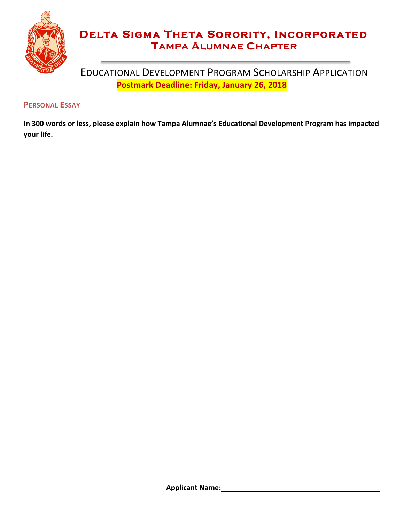

# **DELTA SIGMA THETA SORORITY, INCORPORATED<br>TAMPA ALUMNAE CHAPTER**

#### EDUCATIONAL DEVELOPMENT PROGRAM SCHOLARSHIP APPLICATION **Postmark Deadline: Friday, January 26, 2018**

#### **PERSONAL ESSAY**

In 300 words or less, please explain how Tampa Alumnae's Educational Development Program has impacted **your life.**